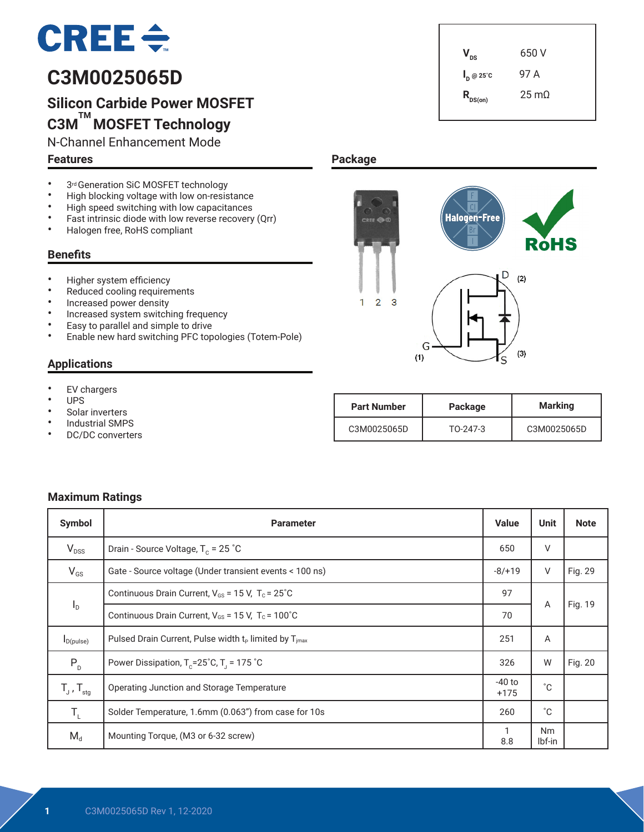# **CREE** $\div$

# **C3M0025065D**

# **Silicon Carbide Power MOSFET C3M TM MOSFET Technology**

N-Channel Enhancement Mode

#### **Features**

- 3<sup>rd</sup> Generation SiC MOSFET technology<br>• High blocking voltage with low on-resis
- High blocking voltage with low on-resistance<br>• High speed switching with low canacitances
- High speed switching with low capacitances<br>• Fact intrinsic diade with low reverse resevent
- Fast intrinsic diode with low reverse recovery (Qrr)
- Halogen free, RoHS compliant

#### **Benefits**

- Higher system efficiency
- Reduced cooling requirements
- Increased power density
- Increased system switching frequency
- Easy to parallel and simple to drive
- Enable new hard switching PFC topologies (Totem-Pole)

#### **Applications**

- **EV** chargers
- UPS
- Solar inverters
- Industrial SMPS
- DC/DC converters

|--|



 $V_{\text{ns}}$  650 V

**I <sup>D</sup> @ 25˚C** 97 A

 $R_{DS(on)}$  25 mΩ

| <b>Part Number</b> | Package  | <b>Marking</b> |
|--------------------|----------|----------------|
| C3M0025065D        | TO-247-3 | C3M0025065D    |

#### **Maximum Ratings**

| Symbol                     | <b>Parameter</b>                                              | <b>Value</b>       | <b>Unit</b>         | <b>Note</b> |
|----------------------------|---------------------------------------------------------------|--------------------|---------------------|-------------|
| $V_{DSS}$                  | Drain - Source Voltage, $T_c = 25$ °C                         | 650                | $\vee$              |             |
| $V_{GS}$                   | Gate - Source voltage (Under transient events < 100 ns)       | $-8/+19$           | V                   | Fig. 29     |
|                            | Continuous Drain Current, $V_{GS}$ = 15 V, $T_c$ = 25°C       |                    |                     |             |
| $I_D$                      | Continuous Drain Current, $V_{GS}$ = 15 V, $T_c$ = 100°C      | 70                 | Α                   | Fig. 19     |
| $I_{D(pulse)}$             | Pulsed Drain Current, Pulse width $t_P$ limited by $T_{imax}$ | 251                | A                   |             |
| $P_{D}$                    | Power Dissipation, $T_c = 25^\circ C$ , $T_i = 175^\circ C$   | 326                | W                   | Fig. 20     |
| $T_{J}$ , $T_{\text{stg}}$ | Operating Junction and Storage Temperature                    | $-40$ to<br>$+175$ | $^{\circ}C$         |             |
| $T_{L}$                    | Solder Temperature, 1.6mm (0.063") from case for 10s          | 260                | $^{\circ}C$         |             |
| $M_d$                      | Mounting Torque, (M3 or 6-32 screw)                           | 8.8                | <b>Nm</b><br>lbf-in |             |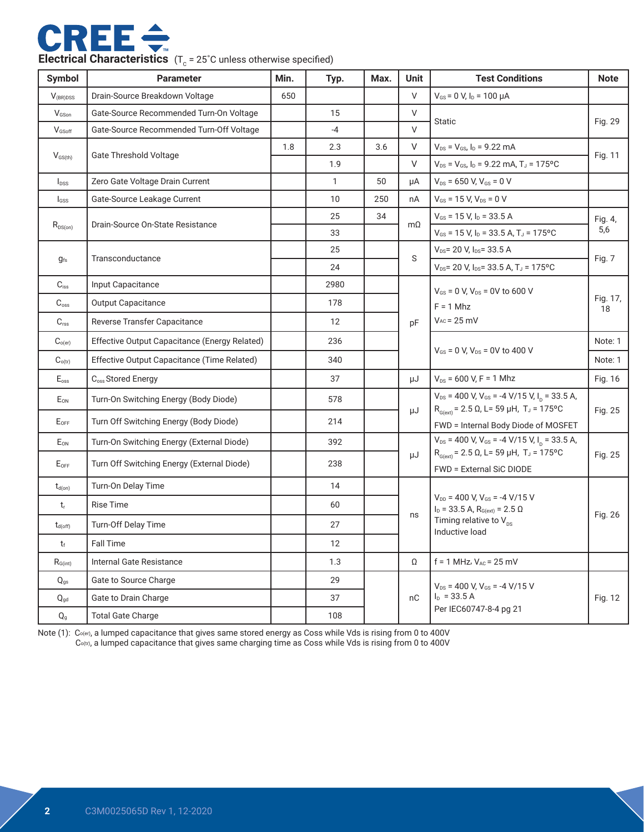

|  | <b>Electrical Characteristics</b> $(T_c = 25^{\circ}C)$ unless otherwise specified) |
|--|-------------------------------------------------------------------------------------|
|--|-------------------------------------------------------------------------------------|

| Symbol                         | <b>Parameter</b>                              | Min. | Typ.         | Max. | <b>Unit</b>            | <b>Test Conditions</b>                                                                           | <b>Note</b>    |
|--------------------------------|-----------------------------------------------|------|--------------|------|------------------------|--------------------------------------------------------------------------------------------------|----------------|
| $V_{\text{(BR)DSS}}$           | Drain-Source Breakdown Voltage                | 650  |              |      | V                      | $V_{GS}$ = 0 V, $I_D$ = 100 $\mu$ A                                                              |                |
| VGSon                          | Gate-Source Recommended Turn-On Voltage       |      | 15           |      | V                      |                                                                                                  | Fig. 29        |
| V <sub>GSoff</sub>             | Gate-Source Recommended Turn-Off Voltage      |      | $-4$         |      | V                      | <b>Static</b>                                                                                    |                |
|                                |                                               | 1.8  | 2.3          | 3.6  | V                      | $V_{DS} = V_{GS}$ , $I_D = 9.22$ mA                                                              | Fig. 11        |
| $V_{GS(th)}$                   | <b>Gate Threshold Voltage</b>                 |      | 1.9          |      | V                      | $V_{DS}$ = $V_{GS}$ , $I_D$ = 9.22 mA, T <sub>J</sub> = 175°C                                    |                |
| $I_{DSS}$                      | Zero Gate Voltage Drain Current               |      | $\mathbf{1}$ | 50   | μA                     | $V_{DS}$ = 650 V, $V_{GS}$ = 0 V                                                                 |                |
| $I_{GSS}$                      | Gate-Source Leakage Current                   |      | 10           | 250  | nA                     | $V_{GS}$ = 15 V, $V_{DS}$ = 0 V                                                                  |                |
|                                | Drain-Source On-State Resistance              |      | 25           | 34   | $m\Omega$              | $V_{GS}$ = 15 V, $I_D$ = 33.5 A                                                                  | Fig. 4,<br>5,6 |
| $R_{DS(on)}$                   |                                               |      | 33           |      |                        | $V_{GS}$ = 15 V, $I_D$ = 33.5 A, T <sub>J</sub> = 175°C                                          |                |
|                                | Transconductance                              |      | 25           |      | S                      | $V_{DS}$ = 20 V, $I_{DS}$ = 33.5 A                                                               | Fig. 7         |
| $g_{fs}$                       |                                               |      | 24           |      |                        | $V_{DS}$ = 20 V, $I_{DS}$ = 33.5 A, T <sub>J</sub> = 175°C                                       |                |
| $C_{iss}$                      | Input Capacitance                             |      | 2980         |      |                        | $V_{GS}$ = 0 V, $V_{DS}$ = 0V to 600 V                                                           |                |
| $C_{\text{oss}}$               | <b>Output Capacitance</b>                     |      | 178          |      |                        | $F = 1$ Mhz                                                                                      | Fig. 17,<br>18 |
| $C_{\text{rss}}$               | Reverse Transfer Capacitance                  |      | 12           |      | pF                     | $V_{AC} = 25$ mV                                                                                 |                |
| $C_{\mathrm{o} (\mathrm{er})}$ | Effective Output Capacitance (Energy Related) |      | 236          |      |                        |                                                                                                  | Note: 1        |
| $C_{o(tr)}$                    | Effective Output Capacitance (Time Related)   |      | 340          |      |                        | $V_{GS}$ = 0 V, $V_{DS}$ = 0V to 400 V                                                           | Note: 1        |
| $\mathsf{E}_{\text{oss}}$      | C <sub>oss</sub> Stored Energy                |      | 37           |      | μJ                     | $V_{DS}$ = 600 V, F = 1 Mhz                                                                      | Fig. 16        |
| E <sub>ON</sub>                | Turn-On Switching Energy (Body Diode)         |      | 578          |      |                        | $V_{DS}$ = 400 V, V <sub>GS</sub> = -4 V/15 V, I <sub>D</sub> = 33.5 A,                          |                |
| $E_{OFF}$                      | Turn Off Switching Energy (Body Diode)        |      | 214          |      | μJ                     | $R_{G(ext)} = 2.5$ Ω, L= 59 μH, T <sub>J</sub> = 175°C<br>FWD = Internal Body Diode of MOSFET    | Fig. 25        |
| E <sub>ON</sub>                | Turn-On Switching Energy (External Diode)     |      | 392          |      |                        | $V_{DS}$ = 400 V, V <sub>GS</sub> = -4 V/15 V, I <sub>D</sub> = 33.5 A,                          |                |
| $E_{OFF}$                      | Turn Off Switching Energy (External Diode)    |      | 238          |      | μJ                     | $R_{G(\text{ext})}$ = 2.5 Ω, L= 59 μH, T <sub>J</sub> = 175°C<br><b>FWD = External SiC DIODE</b> | Fig. 25        |
| $t_{d(on)}$                    | Turn-On Delay Time                            |      | 14           |      |                        |                                                                                                  |                |
| t                              | <b>Rise Time</b>                              |      | 60           |      |                        | $V_{DD}$ = 400 V, $V_{GS}$ = -4 V/15 V<br>$I_D = 33.5$ A, $R_{G(ext)} = 2.5$ $\Omega$            | Fig. 26        |
| $t_{d(\text{off})}$            | Turn-Off Delay Time                           |      | 27           |      | ns                     | Timing relative to $V_{DS}$<br>Inductive load                                                    |                |
| t                              | Fall Time                                     |      | 12           |      |                        |                                                                                                  |                |
| $R_{\text{G(int)}}$            | Internal Gate Resistance                      |      | 1.3          |      | $\Omega$               | $f = 1$ MHz, $V_{AC} = 25$ mV                                                                    |                |
| $Q_{gs}$                       | Gate to Source Charge                         |      | 29           |      |                        | $V_{DS}$ = 400 V, $V_{GS}$ = -4 V/15 V                                                           |                |
| $Q_{\text{gd}}$                | Gate to Drain Charge                          |      | 37           |      | nC                     | $I_D = 33.5 A$                                                                                   | Fig. 12        |
| $Q_g$                          | <b>Total Gate Charge</b>                      |      | 108          |      | Per IEC60747-8-4 pg 21 |                                                                                                  |                |

Note (1): Co(er), a lumped capacitance that gives same stored energy as Coss while Vds is rising from 0 to 400V  $C_{o(vi)}$ , a lumped capacitance that gives same charging time as Coss while Vds is rising from 0 to 400V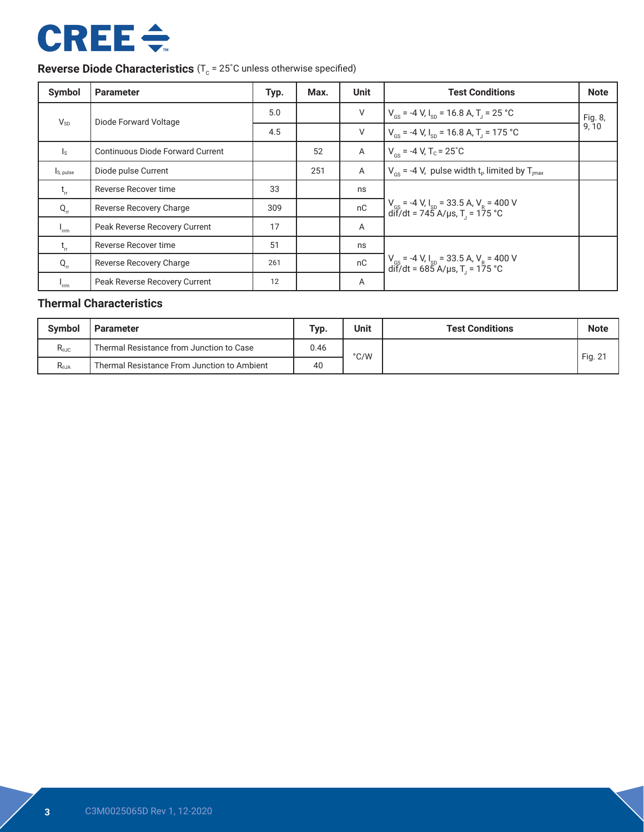# **CREE ÷**

# **Reverse Diode Characteristics** (T<sub>c</sub> = 25°C unless otherwise specified)

| <b>Symbol</b>             | <b>Parameter</b>                        | Typ. | Max. | <b>Unit</b> | <b>Test Conditions</b>                                                                                          | <b>Note</b>      |
|---------------------------|-----------------------------------------|------|------|-------------|-----------------------------------------------------------------------------------------------------------------|------------------|
| $V_{SD}$                  | Diode Forward Voltage                   | 5.0  |      | V           | $V_{\text{gs}}$ = -4 V, I <sub>sp</sub> = 16.8 A, T <sub>1</sub> = 25 °C                                        | Fig. 8,<br>9, 10 |
|                           |                                         | 4.5  |      | $\vee$      | $V_{cs}$ = -4 V, I <sub>sp</sub> = 16.8 A, T <sub>1</sub> = 175 °C                                              |                  |
| $\mathsf{I}_\mathsf{S}$   | <b>Continuous Diode Forward Current</b> |      | 52   | A           | $V_{\text{cs}}$ = -4 V, T <sub>c</sub> = 25 <sup>°</sup> C                                                      |                  |
| I <sub>S, pulse</sub>     | Diode pulse Current                     |      | 251  | A           | $V_{\text{cs}}$ = -4 V, pulse width t <sub>p</sub> limited by T <sub>jmax</sub>                                 |                  |
| $t_{\rm r}$               | Reverse Recover time                    | 33   |      | ns          |                                                                                                                 |                  |
| $Q_{rr}$                  | Reverse Recovery Charge                 | 309  |      | nC          | $V_{gs}$ = -4 V, I <sub>sp</sub> = 33.5 A, V <sub>R</sub> = 400 V<br>dif/dt = 745 A/µs, T <sub>J</sub> = 175 °C |                  |
| $I_{\rm rm}$              | Peak Reverse Recovery Current           | 17   |      | A           |                                                                                                                 |                  |
| $t_{\rm r}$               | Reverse Recover time                    | 51   |      | ns          |                                                                                                                 |                  |
| $Q_{rr}$                  | Reverse Recovery Charge                 | 261  |      | nC          | $V_{gs}$ = -4 V, I <sub>sp</sub> = 33.5 A, V <sub>R</sub> = 400 V<br>dif/dt = 685 A/µs, T <sub>J</sub> = 175 °C |                  |
| $\mathbf{I}_{\text{rrm}}$ | Peak Reverse Recovery Current           | 12   |      | A           |                                                                                                                 |                  |

### **Thermal Characteristics**

| <b>Symbol</b><br><b>Parameter</b> |                                             | Typ. | <b>Unit</b> | <b>Test Conditions</b> | <b>Note</b> |
|-----------------------------------|---------------------------------------------|------|-------------|------------------------|-------------|
| $R_{\theta$ JC                    | Thermal Resistance from Junction to Case    | 0.46 | °C/W        |                        | Fig. $2^r$  |
| R <sub>e.JA</sub>                 | Thermal Resistance From Junction to Ambient | 40   |             |                        |             |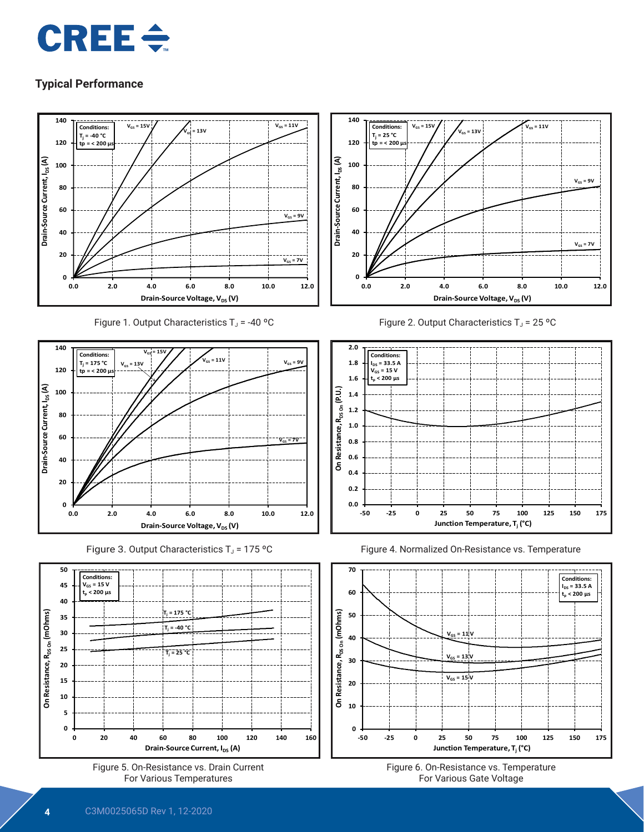



Figure 1. Output Characteristics  $T_J$  = -40 °C



Figure 3. Output Characteristics  $T_J$  = 175 °C







Figure 2. Output Characteristics  $T_J$  = 25 °C







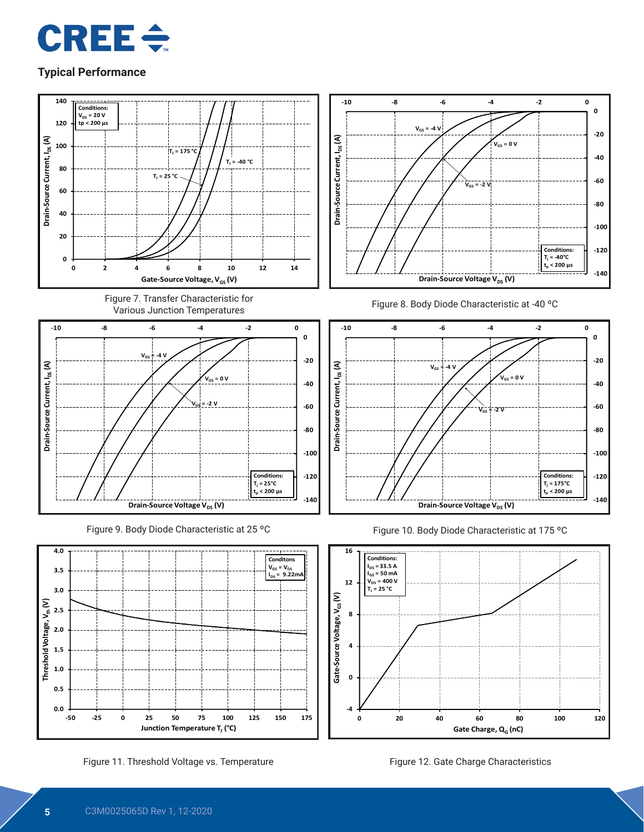



**-4**

Figure 11. Threshold Voltage vs. Temperature Figure 12. Gate Charge Characteristics

**-50 -25 0 25 50 75 100 125 150 175**

**Junction Temperature T<sub>J</sub>** (°C)

**0 20 40 60 80 100 120**

Gate Charge, Q<sub>G</sub> (nC)

**0.0**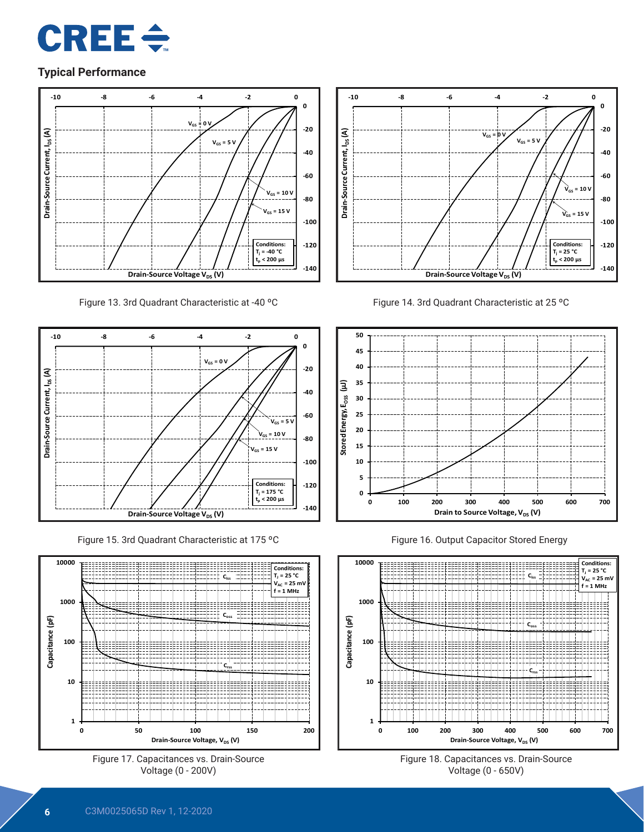



Figure 13. 3rd Quadrant Characteristic at -40 ºC



Figure 15. 3rd Quadrant Characteristic at 175 ºC







Figure 14. 3rd Quadrant Characteristic at 25 ºC



Figure 16. Output Capacitor Stored Energy



Figure 18. Capacitances vs. Drain-Source Voltage (0 - 650V)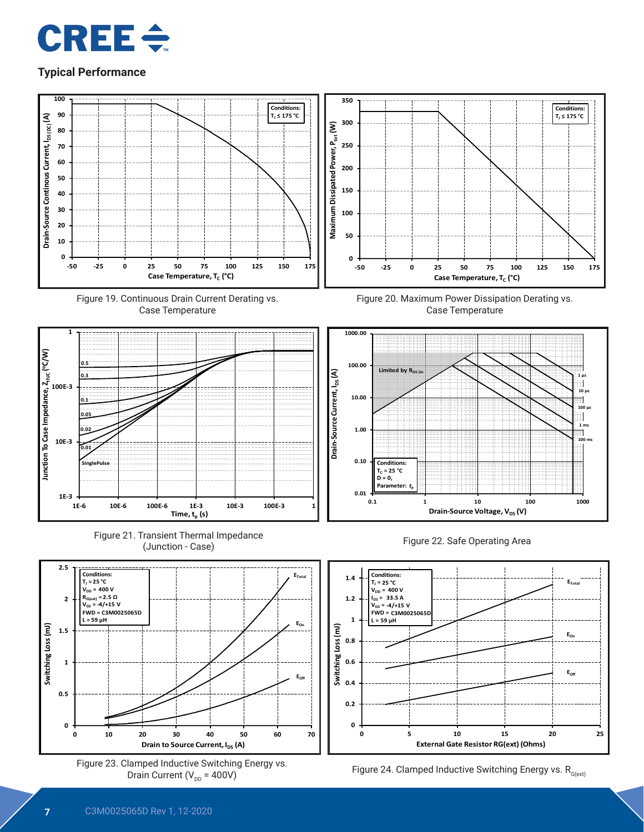



**0.01**

**0.10**

**Conditions:**  $T_c = 25 °C$ **D = 0, Parameter:** *t***<sup>p</sup>**

**1.00**

**10.00**











**0.1 1 10 100 1000**

**100 µs 1 ms**

**100 ms**

**10 µs**

Ħ Ħ İ Ŧ.

**Drain-Source Voltage, V<sub>DS</sub> (V)** 



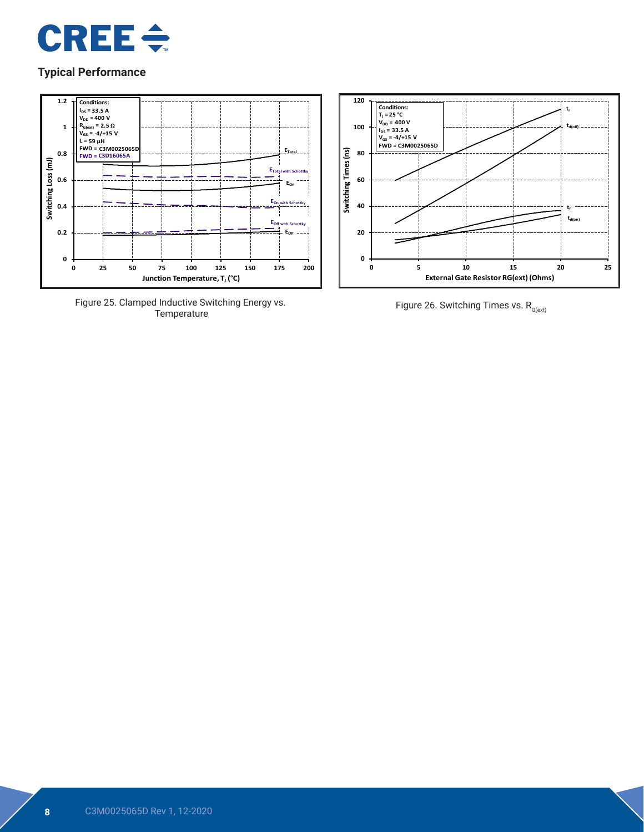



Figure 25. Clamped Inductive Switching Energy vs.



Figure 26. Switching Times vs.  $R_{G(\text{ext})}$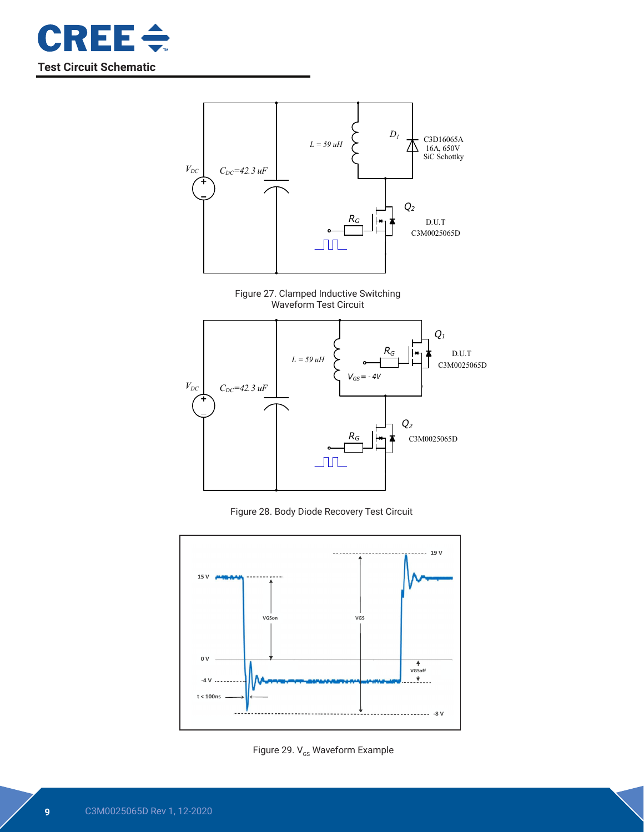



Figure 27. Clamped Inductive Switching Waveform Test Circuit



Figure 28. Body Diode Recovery Test Circuit



Figure 29.  $V_{\text{GS}}$  Waveform Example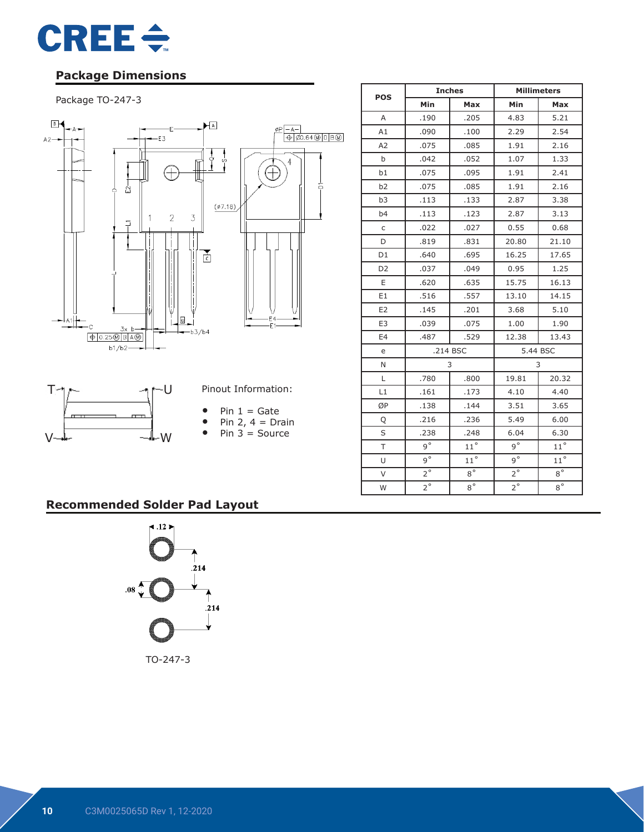

## **Package Dimensions**

#### Package TO-247-3



|                |                        | <b>Inches</b> | <b>Millimeters</b> |              |  |
|----------------|------------------------|---------------|--------------------|--------------|--|
| <b>POS</b>     | Min                    | Max           | Min                | <b>Max</b>   |  |
| A              | .190                   | .205          | 4.83               | 5.21         |  |
| A1             | .090                   | .100          | 2.29               | 2.54         |  |
| A2             | .075                   | .085          | 1.91               | 2.16         |  |
| b              | .042                   | .052          | 1.07               | 1.33         |  |
| b1             | .075                   | .095          | 1.91               | 2.41         |  |
| b2             | .075                   | .085          | 1.91               | 2.16         |  |
| b <sub>3</sub> | .113                   | .133          | 2.87               | 3.38         |  |
| b4             | .113                   | .123          | 2.87               | 3.13         |  |
| $\mathsf C$    | .022                   | .027          | 0.55               | 0.68         |  |
| D              | .819                   | .831          | 20.80              | 21.10        |  |
| D1             | .640                   | .695          | 16.25              | 17.65        |  |
| D <sub>2</sub> | .037                   | .049          | 0.95               | 1.25         |  |
| E              | .620                   | .635          | 15.75              | 16.13        |  |
| E1             | .516                   | .557          | 13.10              | 14.15        |  |
| E <sub>2</sub> | .145                   | .201          | 3.68               | 5.10         |  |
| E <sub>3</sub> | .039                   | .075          | 1.00               | 1.90         |  |
| E4             | .487                   | .529          | 12.38              | 13.43        |  |
| e              |                        | .214 BSC      | 5.44 BSC           |              |  |
| N              |                        | 3             | 3                  |              |  |
| L              | .780                   | .800          | 19.81              | 20.32        |  |
| L1             | .161                   | .173          | 4.10               | 4.40         |  |
| ØP             | .138                   | .144          | 3.51               | 3.65         |  |
| Q              | .216                   | .236          | 5.49               | 6.00         |  |
| S              | .238                   | .248          | 6.04               | 6.30         |  |
| T              | $9^\circ$              | $11^{\circ}$  | $9^\circ$          | $11^{\circ}$ |  |
| U              | $\overline{9^{\circ}}$ | $11^{\circ}$  | $9^{\circ}$        | $11^{\circ}$ |  |
| V              | $2^{\circ}$            | $8^{\circ}$   | $2^{\circ}$        | $8^{\circ}$  |  |
| W              | $2^{\circ}$            | $8^{\circ}$   | $2^{\circ}$        | $8^{\circ}$  |  |

## **Recommended Solder Pad Layout**